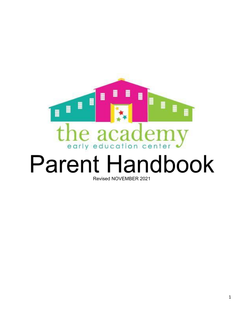

# **Parent Handbook** Revised NOVEMBER 2021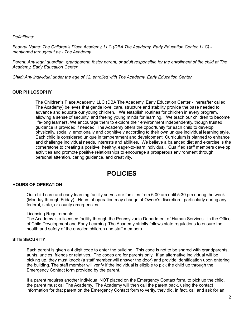*Definitions:*

*Federal Name: The Children's Place Academy, LLC (DBA The Academy, Early Education Center, LLC) mentioned throughout as - The Academy*

Parent: Any legal guardian, grandparent, foster parent, or adult responsible for the enrollment of the child at The *Academy, Early Education Center*

*Child: Any individual under the age of 12, enrolled with The Academy, Early Education Center*

#### **OUR PHILOSOPHY**

The Children's Place Academy, LLC (DBA The Academy, Early Education Center - hereafter called The Academy) believes that gentle love, care, structure and stability provide the base needed to advance and educate our young children. We establish routines for children in every program, allowing a sense of security, and freeing young minds for learning. We teach our children to become life-long learners. We encourage them to explore their environment independently, though trusted guidance is provided if needed. The Academy offers the opportunity for each child to develop physically, socially, emotionally and cognitively according to their own unique individual learning style. Each child is considered unique in temperament and development. Curriculum is planned to enhance and challenge individual needs, interests and abilities. We believe a balanced diet and exercise is the cornerstone to creating a positive, healthy, eager-to-learn individual. Qualified staff members develop activities and promote positive relationships to encourage a prosperous environment through personal attention, caring guidance, and creativity.

## **POLICIES**

#### **HOURS OF OPERATION**

Our child care and early learning facility serves our families from 6:00 am until 5:30 pm during the week (Monday through Friday). Hours of operation may change at Owner's discretion - particularly during any federal, state, or county emergencies.

#### Licensing Requirements

The Academy is a licensed facility through the Pennsylvania Department of Human Services - in the Office of Child Development and Early Learning. The Academy strictly follows state regulations to ensure the health and safety of the enrolled children and staff members.

#### **SITE SECURITY**

Each parent is given a 4 digit code to enter the building. This code is not to be shared with grandparents, aunts, uncles, friends or relatives. The codes are for parents only. If an alternative individual will be picking up, they must knock (a staff member will answer the door) and provide identification upon entering the building. The staff member will verify if the individual is eligible to pick the child up through the Emergency Contact form provided by the parent.

If a parent requires another individual NOT placed on the Emergency Contact form, to pick up the child, the parent must call The Academy. The Academy will then call the parent back, using the contact information for that parent on the Emergency Contact form to verify, they did, in fact, call and ask for an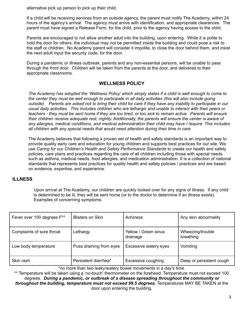alternative pick up person to pick up their child.

If a child will be receiving services from an outside agency, the parent must notify The Academy, within 24 hours of the agency's arrival. The agency must arrive with identification, and appropriate clearances. The parent must have signed a Release Form, for the child, prior to the agency having access to the child.

Parents are encouraged to not allow another adult into the building, upon entering. While it is polite to hold the door for others, the individual may not be permitted inside the building and could pose a risk to the staff or children. No Academy parent will consider it impolite, to close the door behind them, and insist the next adult input the security code, for the door.

During a pandemic or illness outbreak, parents and any non-essential persons, will be unable to pass through the front door. Children will be taken from the parents at the door, and delivered to their appropriate classrooms.

#### **WELLNESS POLICY**

The Academy has adopted the 'Wellness Policy' which simply states if a child is well enough to come to the center they must be well enough to participate in all daily activities (this will also include going outside). Parents are asked not to bring their child for care if they have any inability to participate in our usual daily activities. This includes children who are lethargic and unable to interact with their peers or teachers - they must be sent home if they are too tired, or too sick to remain active. Parents will ensure *their children receive adequate rest, nightly. Additionally, the parents will ensure the center is aware of any allergies, medical conditions, and medical administration their child may have / require. This includes all children with any special needs that would need attention during their time in care.*

The Academy believes that following a proven set of health and safety standards is an important way to provide quality early care and education for young children and supports best practices for our site. We use *Caring for our Children's Health and Safety Performance Standards* to create our health and safety policies, care plans and practices regarding the care of all children including those with special needs such as asthma, medical needs, food allergies, and medication administration. It is a collection of national standards that represents best practices for quality health and safety policies / practices and are based on evidence, expertise, and experience.

#### **ILLNESS**

Upon arrival at The Academy, our children are quickly looked over for any signs of illness. If any child is determined to be ill, they will be sent home (or to the doctor to determine if an illness exists). Examples of concerning symptoms:

| Fever over 100 degrees F** | <b>Blisters on Skin</b> | Achiness                         | Any skin abnormality          |
|----------------------------|-------------------------|----------------------------------|-------------------------------|
| Complaints of sore throat  | Lethargy                | Yellow / Green sinus<br>drainage | Wheezing/trouble<br>breathing |
| Low body temperature       | Puss draining from eyes | Excessive watery eyes            | Vomiting                      |
| Skin rash                  | Persistent diarrhea*    | <b>Excessive coughing</b>        | Deep or persistent cough      |

\*no more than two leaky/watery bowel movements in a day's time.

\*\* Temperature will be taken using a 'no-touch' thermometer on the forehead. Temperature must not exceed 100 degrees. *During a pandemic, or outbreak of a disease spreading throughout the community or throughout the building, temperature must not exceed 99.5 degrees.* Temperatures MAY BE TAKEN at the door upon entering the building.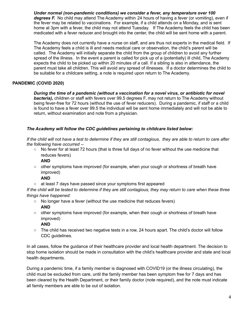*Under normal (non-pandemic conditions) we consider a fever, any temperature over 100 degrees F.* No child may attend The Academy within 24 hours of having a fever (or vomiting), even if the fever may be related to vaccinations. For example, if a child attends on a Monday, and is sent home at 3pm with a fever, the child may not attend Tuesday. If The Academy feels the child has been medicated with a fever reducer and brought into the center, the child will be sent home with a parent.

The Academy does not currently have a nurse on staff, and are thus not experts in the medical field. If The Academy feels a child is ill and needs medical care or observation, the child's parent will be called. The Academy will initially separate the child from the group of children to avoid any further spread of the illness. In the event a parent is called for pick up of a (potentially) ill child, The Academy expects the child to be picked up within 20 minutes of a call. If a sibling is also in attendance, the parent must take all children. This will avoid any spread of illnesses. If a doctor determines the child to be suitable for a childcare setting, a note is required upon return to The Academy.

#### **PANDEMIC (COVID 2020)**

*During the time of a pandemic (without a vaccination for a novel virus, or antibiotic for novel bacteria),* children or staff with fevers over 99.5 degrees F, may not return to The Academy without being fever-free for 72 hours (without the use of fever reducers). During a pandemic, if staff or a child is found to have a fever over 99.5 the individual will be sent home immediately and will not be able to return, without examination and note from a physician.

#### *The Academy will follow the CDC guidelines pertaining to childcare listed below:*

If the child will not have a test to determine if they are still contagious, they are able to return to care after *the following have occurred --*

○ No fever for at least 72 hours (that is three full days of no fever without the use medicine that reduces fevers)

#### **AND**

○ other symptoms have improved (for example, when your cough or shortness of breath have improved)

#### **AND**

○ at least 7 days have passed since your symptoms first appeared

If the child will be tested to determine if they are still contagious, they may return to care when these three *things have happened:*

- No longer have a fever (without the use medicine that reduces fevers) **AND**
- other symptoms have improved (for example, when their cough or shortness of breath have improved)

#### **AND**

 $\circ$  The child has received two negative tests in a row, 24 hours apart. The child's doctor will follow CDC guidelines.

In all cases, follow the guidance of their healthcare provider and local health department. The decision to stop home isolation should be made in consultation with the child's healthcare provider and state and local health departments.

During a pandemic time, if a family member is diagnosed with COVID19 (or the illness circulating), the child must be excluded from care, until the family member has been symptom free for 7 days and has been cleared by the Health Department, or their family doctor (note required), and the note must indicate all family members are able to be out of isolation.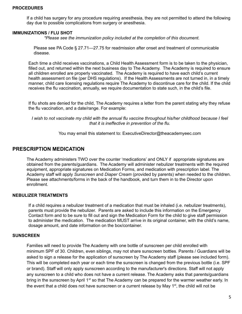If a child has surgery for any procedure requiring anesthesia, they are not permitted to attend the following day due to possible complications from surgery or anesthesia.

#### **IMMUNIZATIONS / FLU SHOT**

*\*Please see the immunization policy included at the completion of this document.*

Please see PA Code § 27.71—27.75 for readmission after onset and treatment of communicable disease.

Each time a child receives vaccinations, a Child Health Assessment form is to be taken to the physician, filled out, and returned within the next business day to The Academy. The Academy is required to ensure all children enrolled are properly vaccinated. The Academy is required to have each child's current health assessment on file (per DHS regulations). If the Health Assessments are not turned in, in a timely manner, child care licensing regulations require The Academy to discontinue care for the child. If the child receives the flu vaccination, annually, we require documentation to state such, in the child's file.

If flu shots are denied for the child, The Academy requires a letter from the parent stating why they refuse the flu vaccination, and a date/range. For example:

I wish to not vaccinate my child with the annual flu vaccine throughout his/her childhood because I feel *that it is ineffective in prevention of the flu.*

You may email this statement to: ExecutiveDirector@theacademyeec.com

#### **PRESCRIPTION MEDICATION**

The Academy administers TWO over the counter 'medications' and ONLY if appropriate signatures are obtained from the parents/guardians. The Academy will administer nebulizer treatments with the required equipment, appropriate signatures on Medication Forms, and medication with prescription label. The Academy staff will apply *Sunscreen* and *Diaper Cream* (provided by parents) when needed to the children. Please see attachments/forms in the back of the handbook, and turn them in to the Director upon enrollment.

#### **NEBULIZER TREATMENTS**

If a child requires a nebulizer treatment of a medication that must be inhaled (i.e. nebulizer treatments), parents must provide the nebulizer. Parents are asked to include this information on the Emergency Contact form and to be sure to fill out and sign the Medication Form for the child to give staff permission to administer the medication. The medication MUST arrive in its original container, with the child's name, dosage amount, and date information on the box/container.

#### **SUNSCREEN**

Families will need to provide The Academy with one bottle of sunscreen per child enrolled with minimum SPF of 30. Children, even siblings, may not share sunscreen bottles. Parents / Guardians will be asked to sign a release for the application of sunscreen by The Academy staff (please see included form). This will be completed each year or each time the sunscreen is changed from the previous bottle (i.e. SPF or brand). Staff will only apply sunscreen according to the manufacturer's directions. Staff will not apply any sunscreen to a child who does not have a current release. The Academy asks that parents/guardians bring in the sunscreen by April 1<sup>st</sup> so that The Academy can be prepared for the warmer weather early. In the event that a child does not have sunscreen or a current release by May 1<sup>st</sup>, the child will not be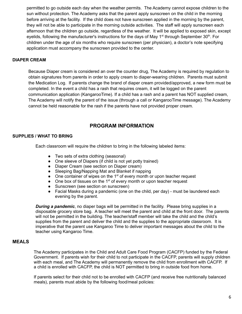permitted to go outside each day when the weather permits. The Academy cannot expose children to the sun without protection. The Academy asks that the parent apply sunscreen on the child in the morning before arriving at the facility. If the child does not have sunscreen applied in the morning by the parent, they will not be able to participate in the morning outside activities. The staff will apply sunscreen each afternoon that the children go outside, regardless of the weather. It will be applied to exposed skin, except eyelids, following the manufacturer's instructions for the days of May 1<sup>st</sup> through September 30<sup>th</sup>. For children under the age of six months who require sunscreen (per physician), a doctor's note specifying application must accompany the sunscreen provided to the center.

#### **DIAPER CREAM**

Because Diaper cream is considered an over the counter drug, The Academy is required by regulation to obtain signatures from parents in order to apply cream to diaper-wearing children. Parents must submit the Medication Log. If parents change the brand of diaper cream provided/approved, a new form must be completed. In the event a child has a rash that requires cream, it will be logged on the parent communication application (KangarooTime). If a child has a rash and a parent has NOT supplied cream, The Academy will notify the parent of the issue (through a call or KangarooTime message). The Academy cannot be held reasonable for the rash if the parents have not provided proper cream.

### **PROGRAM INFORMATION**

#### **SUPPLIES / WHAT TO BRING**

Each classroom will require the children to bring in the following labeled items:

- Two sets of extra clothing (seasonal)
- One sleeve of Diapers (if child is not yet potty trained)
- Diaper Cream (see section on Diaper cream)
- Sleeping Bag/Napping Mat and Blanket if napping
- $\bullet$  One container of wipes on the 1<sup>st</sup> of every month or upon teacher request
- $\bullet$  One box of tissues on the 1<sup>st</sup> of every month or upon teacher request
- Sunscreen (see section on sunscreen)
- Facial Masks during a pandemic (one on the child, per day) must be laundered each evening by the parent.

*During a pandemic*, no diaper bags will be permitted in the facility. Please bring supplies in a disposable grocery store bag. A teacher will meet the parent and child at the front door. The parents will not be permitted in the building. The teacher/staff member will take the child and the child's supplies from the parent and deliver the child and the supplies to the appropriate classroom. It is imperative that the parent use Kangaroo Time to deliver important messages about the child to the teacher using Kangaroo Time.

#### **MEALS**

The Academy participates in the Child and Adult Care Food Program (CACFP) funded by the Federal Government. If parents wish for their child to not participate in the CACFP, parents will supply children with each meal, and The Academy will permanently remove the child from enrollment with CACFP. If a child is enrolled with CACFP, the child is NOT permitted to bring in outside food from home.

If parents select for their child not to be enrolled with CACFP (and receive free nutritionally balanced meals), parents must abide by the following food/meal policies: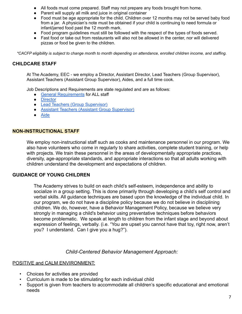- All foods must come prepared. Staff may not prepare any foods brought from home.
- Parent will supply all milk and juice in original container
- Food must be age appropriate for the child. Children over 12 months may not be served baby food from a jar. A physician's note must be obtained if your child is continuing to need formula or infant/jarred food past the 12 month mark.
- Food program guidelines must still be followed with the respect of the types of foods served.
- Fast food or take out from restaurants will also not be allowed in the center, nor will delivered pizzas or food be given to the children.

\*CACFP eligibility is subject to change month to month depending on attendance, enrolled children income, and staffing.

### **CHILDCARE STAFF**

At The Academy, EEC - we employ a Director, Assistant Director, Lead Teachers (Group Supervisor), Assistant Teachers (Assistant Group Supervisor), Aides, and a full time cook.

Job Descriptions and Requirements are state regulated and are as follows:

- General [Requirements](http://www.pacodeandbulletin.gov/Display/pacode?file=/secure/pacode/data/055/chapter3270/s3270.33.html&d=reduce) for ALL staff
- [Director](http://www.pacodeandbulletin.gov/Display/pacode?file=/secure/pacode/data/055/chapter3270/s3270.34.html&d=reduce)
- Lead Teachers (Group [Supervisor\)](http://www.pacodeandbulletin.gov/Display/pacode?file=/secure/pacode/data/055/chapter3270/s3270.35.html&d=reduce)
- Assistant Teachers (Assistant Group [Supervisor\)](http://www.pacodeandbulletin.gov/Display/pacode?file=/secure/pacode/data/055/chapter3270/s3270.36.html&d=reduce)
- **[Aide](http://www.pacodeandbulletin.gov/Display/pacode?file=/secure/pacode/data/055/chapter3270/s3270.37.html&d=reduce)**

#### **NON-INSTRUCTIONAL STAFF**

We employ non-instructional staff such as cooks and maintenance personnel in our program. We also have volunteers who come in regularly to share activities, complete student training, or help with projects. We train these personnel in the areas of developmentally appropriate practices, diversity, age-appropriate standards, and appropriate interactions so that all adults working with children understand the development and expectations of children.

#### **GUIDANCE OF YOUNG CHILDREN**

The Academy strives to build on each child's self-esteem, independence and ability to socialize in a group setting. This is done primarily through developing a child's self control and verbal skills. All guidance techniques are based upon the knowledge of the individual child. In our program, we do not have a discipline policy because we do not believe in disciplining children. We do, however, have a Behavior Management Policy, because we believe very strongly in managing a child's behavior using preventative techniques before behaviors become problematic. We speak at length to children from the infant stage and beyond about expression of feelings, verbally. (i.e. "You are upset you cannot have that toy, right now, aren't you? I understand. Can I give you a hug?").

#### *Child-Centered Behavior Management Approach:*

#### POSITIVE and CALM ENVIRONMENT:

- Choices for activities are provided
- Curriculum is made to be stimulating for each individual child
- Support is given from teachers to accommodate all children's specific educational and emotional needs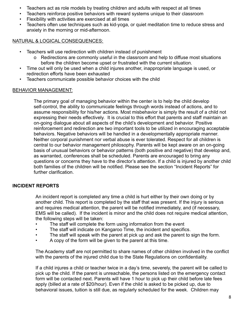- Teachers act as role models by treating children and adults with respect at all times
- Teachers reinforce positive behaviors with reward systems unique to their classroom
- Flexibility with activities are exercised at all times
- Teachers often use techniques such as kid-yoga, or quiet meditation time to reduce stress and anxiety in the morning or mid-afternoon.

### NATURAL & LOGICAL CONSEQUENCES:

- Teachers will use redirection with children instead of punishment
	- o Redirections are commonly useful in the classroom and help to diffuse most situations before the children become upset or frustrated with the current situation.
- Time out will only be used when a child injures another, inappropriate language is used, or redirection efforts have been exhausted
- Teachers communicate possible behavior choices with the child

### BEHAVIOR MANAGEMENT:

The primary goal of managing behavior within the center is to help the child develop self-control, the ability to communicate feelings through words instead of actions, and to assume responsibility for his/her actions. Most misbehavior is simply the result of a child not expressing their needs effectively. It is crucial to this effort that parents and staff maintain an on-going dialogue about all aspects of the child's development and behavior. Positive reinforcement and redirection are two important tools to be utilized in encouraging acceptable behaviors. Negative behaviors will be handled in a developmentally appropriate manner. Neither corporal punishment nor verbal abuse is ever tolerated. Respect for all children is central to our behavior management philosophy. Parents will be kept aware on an on-going basis of unusual behaviors or behavior patterns (both positive and negative) that develop and, as warranted, conferences shall be scheduled. Parents are encouraged to bring any questions or concerns they have to the director's attention. If a child is injured by another child both families of the children will be notified. Please see the section "Incident Reports" for further clarification.

### **INCIDENT REPORTS**

An incident report is completed any time a child is hurt either by their own doing or by another child. This report is completed by the staff that was present. If the injury is serious and requires medical attention, the parent will be notified immediately, and (if necessary, EMS will be called). If the incident is minor and the child does not require medical attention, the following steps will be taken:

- The staff will complete the form using information from the event
- The staff will indicate on Kangaroo Time, the incident and specifics.
- The staff will speak with the parent at pick up and ask the parent to sign the form.
- A copy of the form will be given to the parent at this time.

The Academy staff are not permitted to share names of other children involved in the conflict with the parents of the injured child due to the State Regulations on confidentiality.

If a child injures a child or teacher twice in a day's time, severely, the parent will be called to pick up the child. If the parent is unreachable, the persons listed on the emergency contact form will be contacted next. Parents will have 1 hour to pick up their child before late fees apply (billed at a rate of \$20/hour). Even if the child is asked to be picked up, due to behavioral issues, tuition is still due, as regularly scheduled for the week. Children may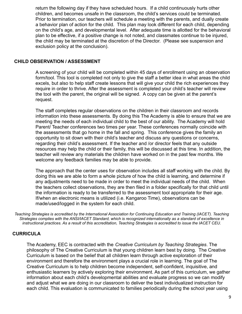return the following day if they have scheduled hours. If a child continuously hurts other children, and becomes unsafe in the classroom, the child's services could be terminated. Prior to termination, our teachers will schedule a meeting with the parents, and dually create a behavior plan of action for the child. This plan may look different for each child, depending on the child's age, and developmental level. After adequate time is allotted for the behavioral plan to be effective, if a positive change is not noted, and classmates continue to be injured, the child may be terminated at the discretion of the Director. (Please see suspension and exclusion policy at the conclusion).

#### **CHILD OBSERVATION / ASSESSMENT**

A screening of your child will be completed within 45 days of enrollment using an observation form/tool. This tool is completed not only to give the staff a better idea in what areas the child excels, but also to help staff create lessons that will give your child the rich experiences they require in order to thrive. After the assessment is completed your child's teacher will review the tool with the parent, the original will be signed. A copy can be given at the parent's request.

The staff completes regular observations on the children in their classroom and records information into these assessments. By doing this The Academy is able to ensure that we are meeting the needs of each individual child to the best of our ability. The Academy will hold Parent/ Teacher conferences two times per year. These conferences normally coincide with the assessments that go home in the fall and spring. This conference gives the family an opportunity to sit down with their child's teacher and discuss any questions or concerns, regarding their child's assessment. If the teacher and /or director feels that any outside resources may help the child or their family, this will be discussed at this time. In addition, the teacher will review any materials the children have worked on in the past few months. We welcome any feedback families may be able to provide.

The approach that the center uses for observation includes all staff working with the child. By doing this we are able to form a whole picture of how the child is learning, and determine if any adjustments need to be made in order to meet the individual needs of the child. When the teachers collect observations, they are then filed in a folder specifically for that child until the information is ready to be transferred to the assessment tool appropriate for their age. If/when an electronic means is utilized (i.e. Kangaroo Time), observations can be made/used/logged in the system for each child.

Teaching Strategies is accredited by the International Association for Continuing Education and Training (IACET). Teaching Strategies complies with the ANSI/IACET Standard, which is recognized internationally as a standard of excellence in instructional practices. As a result of this accreditation, Teaching Strategies is accredited to issue the IACET CEU.

#### **CURRICULA**

The Academy, EEC is contracted with the *Creative Curriculum by Teaching Strategies*. The philosophy of The Creative Curriculum is that young children learn best by doing. The Creative Curriculum is based on the belief that all children learn through active exploration of their environment and therefore the environment plays a crucial role in learning. The goal of The Creative Curriculum is to help children become independent, self-confident, inquisitive, and enthusiastic learners by actively exploring their environment. As part of this curriculum, we gather information about each child's developmental abilities and evaluate progress so we can modify and adjust what we are doing in our classroom to deliver the best individualized instruction for each child. This evaluation is communicated to families periodically during the school year using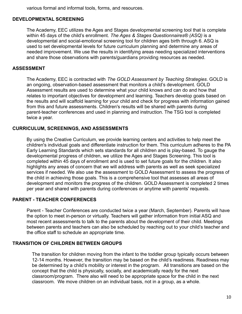various formal and informal tools, forms, and resources.

#### **DEVELOPMENTAL SCREENING**

The Academy, EEC utilizes the Ages and Stages developmental screening tool that is complete within 45 days of the child's enrollment. *The Ages & Stages Questionnaires® (ASQ)* is a developmental and social-emotional screening tool for children ages birth through 6. ASQ is used to set developmental levels for future curriculum planning and determine any areas of needed improvement. We use the results in identifying areas needing specialized interventions and share those observations with parents/guardians providing resources as needed.

#### **ASSESSMENT**

The Academy, EEC is contracted with *The GOLD Assessment by Teaching Strategies*. GOLD is an ongoing, observation-based assessment that monitors a child's development. GOLD Assessment results are used to determine what your child knows and can do and how that relates to important objectives for development and learning. Teachers develop goals based on the results and will scaffold learning for your child and check for progress with information gained from this and future assessments. Children's results will be shared with parents during parent-teacher conferences and used in planning and instruction. The TSG tool is completed twice a year.

#### **CURRICULUM, SCREENINGS, AND ASSESSMENTS**

By using the Creative Curriculum, we provide learning centers and activities to help meet the children's individual goals and differentiate instruction for them. This curriculum adheres to the PA Early Learning Standards which sets standards for all children and is play-based. To gauge the developmental progress of children, we utilize the Ages and Stages Screening. This tool is completed within 45 days of enrollment and is used to set future goals for the children. It also highlights any areas of concern that we will address with parents as well as seek specialized services if needed. We also use the assessment to GOLD Assessment to assess the progress of the child in achieving those goals. This is a comprehensive tool that assesses all areas of development and monitors the progress of the children. GOLD Assessment is completed 2 times per year and shared with parents during conferences or anytime with parents' requests.

#### **PARENT - TEACHER CONFERENCES**

Parent - Teacher Conferences are conducted twice a year (March, September). Parents will have the option to meet in-person or virtually. Teachers will gather information from initial ASQ and most recent assessments to talk to the parents about the development of their child. Meetings between parents and teachers can also be scheduled by reaching out to your child's teacher and the office staff to schedule an appropriate time.

#### **TRANSITION OF CHILDREN BETWEEN GROUPS**

The transition for children moving from the infant to the toddler group typically occurs between 12-14 months. However, the transition may be based on the child's readiness. Readiness may be determined by a child's mobility or interest in the program. All transitions are based on the concept that the child is physically, socially, and academically ready for the next classroom/program. There also will need to be appropriate space for the child in the next classroom. We move children on an individual basis, not in a group, as a whole.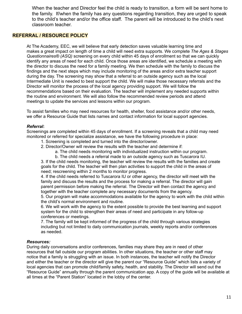When the teacher and Director feel the child is ready to transition, a form will be sent home to the family. If/when the family has any questions regarding transition, they are urged to speak to the child's teacher and/or the office staff. The parent will be introduced to the child's next classroom teacher.

#### **REFERRAL / RESOURCE POLICY**

At The Academy, EEC, we will believe that early detection saves valuable learning time and makes a great impact on length of time a child will need extra supports. We complete *The Ages & Stages Questionnaires® (ASQ)* screening on every child within 45 days of enrollment so that we can quickly identify any areas of need for each child. Once those areas are identified, we schedule a meeting with the director to discuss the need for a family meeting. We then schedule with the family to discuss the findings and the next steps which may include monitoring of the areas and/or extra teacher support during the day. The screening may show that a referral to an outside agency such as the local Intermediate Unit is needed to best support the child. We will make those necessary referrals and the Director will monitor the process of the local agency providing support. We will follow the recommendations based on their evaluation. The teacher will implement any needed supports within the routine and environment. We will also follow the recommended review periods and attend meetings to update the services and lessons within our program.

To assist families who may need resources for health, shelter, food assistance and/or other needs, we offer a Resource Guide that lists names and contact information for local support agencies.

#### *Referral***:**

Screenings are completed within 45 days of enrollment. If a screening reveals that a child may need monitored or referred for specialize assistance, we have the following procedure in place:

- 1. Screening is completed and turned into the director/owner.
- 2. Director/Owner will review the results with the teacher and determine if:
	- a. The child needs monitoring with individualized instruction within our program.

b. The child needs a referral made to an outside agency such as Tuscarora IU. 3. If the child needs monitoring, the teacher will review the results with the families and create goals for the child. The teacher will then plan activities to support the child in the areas of need; rescreening within 2 months to monitor progress.

4. If the child needs referred to Tuscarora IU or other agency, the director will meet with the family and discuss the results and the process for making a referral. The director will gain parent permission before making the referral. The Director will then contact the agency and together with the teacher complete any necessary documents from the agency.

5. Our program will make accommodations available for the agency to work with the child within the child's normal environment and routine.

6. We will work with the agency to the extent possible to provide the best learning and support system for the child to strengthen their areas of need and participate in any follow-up conferences or meetings.

7. The family will be kept informed of the progress of the child through various strategies including but not limited to daily communication journals, weekly reports and/or conferences as needed.

#### *Resources:*

During daily conversations and/or conferences, families may share they are in need of other resources that fall outside our program abilities. In other situations, the teacher or other staff may notice that a family is struggling with an issue. In both instances, the teacher will notify the Director and either the teacher or the director will give the parent our "Resource Guide" which lists a variety of local agencies that can promote child/family safety, health, and stability. The Director will send out the "Resource Guide" annually through the parent communication app. A copy of the guide will be available at all times at the "Parent Station" located in the lobby of the center.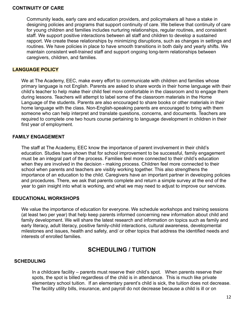#### **CONTINUITY OF CARE**

Community leads, early care and education providers, and policymakers all have a stake in designing policies and programs that support continuity of care. We believe that continuity of care for young children and families includes nurturing relationships, regular routines, and consistent staff. We support positive interactions between all staff and children to develop a sustained rapport. We create these relationships by minimizing disruptions, such as changes in settings and routines. We have policies in place to have smooth transitions in both daily and yearly shifts. We maintain consistent well-trained staff and support ongoing long-term relationships between caregivers, children, and families.

#### **LANGUAGE POLICY**

We at The Academy, EEC, make every effort to communicate with children and families whose primary language is not English. Parents are asked to share words in their home language with their child's teacher to help make their child feel more comfortable in the classroom and to engage them during lessons. Teachers will attempt to label some of the classroom materials in the Home Language of the students. Parents are also encouraged to share books or other materials in their home language with the class. Non-English-speaking parents are encouraged to bring with them someone who can help interpret and translate questions, concerns, and documents. Teachers are required to complete one two hours course pertaining to language development in children in their first year of employment.

#### **FAMILY ENGAGEMENT**

The staff at The Academy, EEC know the importance of parent involvement in their child's education. Studies have shown that for school improvement to be successful, family engagement must be an integral part of the process. Families feel more connected to their child's education when they are involved in the decision - making process. Children feel more connected to their school when parents and teachers are visibly working together. This also strengthens the importance of an education to the child. Caregivers have an important partner in developing policies and procedures. There, we ask that parents complete and return a simple survey at the end of the year to gain insight into what is working, and what we may need to adjust to improve our services.

#### **EDUCATIONAL WORKSHOPS**

We value the importance of education for everyone. We schedule workshops and training sessions (at least two per year) that help keep parents informed concerning new information about child and family development. We will share the latest research and information on topics such as family and early literacy, adult literacy, positive family-child interactions, cultural awareness, developmental milestones and issues, health and safety, and/ or other topics that address the identified needs and interests of enrolled families.

## **SCHEDULING / TUITION**

#### **SCHEDULING**

In a childcare facility – parents must reserve their child's spot. When parents reserve their spots, the spot is billed regardless of the child is in attendance. This is much like private elementary school tuition. If an elementary parent's child is sick, the tuition does not decrease. The facility utility bills, insurance, and payroll do not decrease because a child is ill or on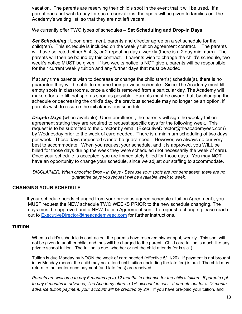vacation. The parents are reserving their child's spot in the event that it will be used. If a parent does not wish to pay for such reservations, the spots will be given to families on The Academy's waiting list, so that they are not left vacant.

#### We currently offer TWO types of schedules – **Set Scheduling and Drop-In Days**

*Set Scheduling* : Upon enrollment, parents and director agree on a set schedule for the child(ren). This schedule is included on the weekly tuition agreement contract. The parents will have selected either 5, 4, 3, or 2 repeating days, weekly (there is a 2 day minimum). The parents will then be bound by this contract. If parents wish to change the child's schedule, two week's notice MUST be given. If two weeks notice is NOT given, parents will be responsible for their current weekly tuition and any further days that must be added.

If at any time parents wish to decrease or change the child's(ren's) schedule(s), there is no guarantee they will be able to resume their previous schedule. Since The Academy must fill empty spots in classrooms, once a child is removed from a particular day, The Academy will make efforts to fill that spot as soon as possible. Parents must be aware that, by changing the schedule or decreasing the child's day, the previous schedule may no longer be an option, if parents wish to resume the initial/previous schedule.

*Drop-In Days* (when available): Upon enrollment, the parents will sign the weekly tuition agreement stating they are required to request specific days for the following week. This request is to be submitted to the director by email (ExecutiveDirector@theacademyeec.com) by Wednesday prior to the week of care needed. There is a minimum scheduling of two days per week. These days requested cannot be guaranteed. However, we always do our very best to accommodate! When you request your schedule, and it is approved, you WILL be billed for those days during the week they were scheduled (not necessarily the week of care). Once your schedule is accepted, you are immediately billed for those days. You may **NOT** have an opportunity to change your schedule, since we adjust our staffing to accommodate.

*DISCLAIMER: When choosing Drop - In Days - Because your spots are not permanent, there are no guarantee days you request will be available week to week.*

#### **CHANGING YOUR SCHEDULE**

If your schedule needs changed from your previous agreed schedule (Tuition Agreement), you MUST request the NEW schedule TWO WEEKS PRIOR to the new schedule changing. The days must be approved and a NEW Tuition Agreement sent. To request a change, please reach out to [ExecutiveDirector@theacademyeec.com](mailto:ExecutiveDirector@theacademyeec.com) for further instructions.

#### **TUITION**

When a child's schedule is contracted, the parents have reserved his/her spot, weekly. This spot will not be given to another child, and thus will be charged to the parent. Child care tuition is much like any private school tuition. The tuition is due, whether or not the child attends (or is sick).

Tuition is due Monday by NOON the week of care needed (effective 5/11/20). If payment is not brought in by Monday (noon), the child may not attend until tuition (including the late fee) is paid. The child may return to the center once payment (and late fees) are received.

Parents are welcome to pay 6 months up to 12 months in advance for the child's tuition. If parents opt to pay 6 months in advance, The Academy offers a 1% discount in cost. If parents opt for a 12 month *advance tuition payment, your account will be credited by 2%.* If you have pre-paid your tuition, and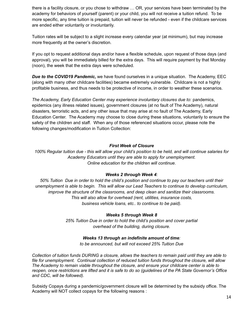there is a facility closure, or you chose to withdraw … OR, your services have been terminated by the academy for behaviors of yourself (parent) or your child, you will not receive a tuition refund. To be more specific, any time tuition is prepaid, tuition will never be refunded - even if the childcare services are ended either voluntarily or involuntarily.

Tuition rates will be subject to a slight increase every calendar year (at minimum), but may increase more frequently at the owner's discretion.

If you opt to request additional days and/or have a flexible schedule, upon request of those days (and approval), you will be immediately billed for the extra days. This will require payment by that Monday (noon), the week that the extra days were scheduled.

*Due to the COVID19 Pandemic,* we have found ourselves in a unique situation. The Academy, EEC (along with many other childcare facilities) became extremely vulnerable. Childcare is not a highly profitable business, and thus needs to be protective of income, in order to weather these scenarios.

*The Academy, Early Education Center may experience involuntary closures due to*: pandemics, epidemics (any illness related issues), government closures (at no fault of The Academy), natural disasters, terroristic acts, and any other issue that may arise at no fault of The Academy, Early Education Center. The Academy may choose to close during these situations, voluntarily to ensure the safety of the children and staff. When any of those referenced situations occur, please note the following changes/modification in Tuition Collection:

#### *First Week of Closure*

100% Regular tuition due - this will allow your child's position to be held, and will continue salaries for *Academy Educators until they are able to apply for unemployment. Online education for the children will continue.*

#### *Weeks 2 through Week 4:*

*50% Tuition Due in order to hold the child's position and continue to pay our teachers until their unemployment is able to begin. This will allow our Lead Teachers to continue to develop curriculum, improve the structure of the classrooms, and deep clean and sanitize their classrooms. This will also allow for overhead (rent, utilities, insurance costs, business vehicle loans, etc.. to continue to be paid).*

#### *Weeks 5 through Week 8*

*25% Tuition Due in order to hold the child's position and cover partial overhead of the building, during closure.*

#### *Weeks 13 through an indefinite amount of time:*

*to be announced, but will not exceed 25% Tuition Due*

Collection of tuition funds DURING a closure, allows the teachers to remain paid until they are able to *file for unemployment. Continual collection of reduced tuition funds throughout the closure, will allow The Academy to remain viable throughout the closure, and ensure your childcare center is able to* reopen, once restrictions are lifted and it is safe to do so (guidelines of the PA State Governor's Office *and CDC, will be followed).*

Subsidy Copays during a pandemic/government closure will be determined by the subsidy office. The Academy will NOT collect copays for the following reasons :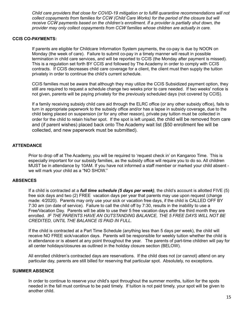*Child care providers that close for COVID-19 mitigation or to fulfill quarantine recommendations will not collect copayments from families for CCW (Child Care Works) for the period of the closure but will receive CCW payments based on the children's enrollment. If a provider is partially shut down, the provider may only collect copayments from CCW families whose children are actually in care.*

#### **CCIS CO-PAYMENTS:**

If parents are eligible for Childcare Information System payments, the co-pay is due by NOON on Monday (the week of care). Failure to submit co-pay in a timely manner will result in possible termination in child care services, and will be reported to CCIS (the Monday after payment is missed). This is a regulation set forth BY CCIS and followed by The Academy in order to comply with CCIS contracts. If CCIS decreases child care coverage for a client, the client must then supply the tuition privately in order to continue the child's current schedule.

CCIS families must be aware that although they may utilize the CCIS Subsidized payment option, they still are required to request a schedule change two weeks prior to care needed. If two weeks' notice is not given, parents will be paying privately for the previously scheduled days (not covered by CCIS).

If a family receiving subsidy child care aid through the ELRC office (or any other subsidy office), fails to turn in appropriate paperwork to the subsidy office and/or has a lapse in subsidy coverage, due to the child being placed on suspension (or for any other reason), private pay tuition must be collected in order for the child to retain his/her spot. If the spot is left unpaid, the child will be removed from care and (if parent wishes) placed back onto The Academy wait list (\$50 enrollment fee will be collected, and new paperwork must be submitted).

#### **ATTENDANCE**

Prior to drop off at The Academy, you will be required to 'request check in' on Kangaroo Time. This is especially important for our subsidy families, as the subsidy office will require you to do so. All children MUST be in attendance by 10AM. If you have not informed a staff member or marked your child absent we will mark your child as a "NO SHOW."

#### **ABSENCES**

If a child is contracted at a *full time schedule (5 days per week)*, the child's account is allotted FIVE (5) free sick days and two (2) FREE vacation days per year that parents may use upon request (change made: 4/2020). Parents may only use your sick or vacation free days, if the child is CALLED OFF BY 7:30 am (on date of service). Failure to call the child off by 7:30, results in the inability to use a Free/Vacation Day. Parents will be able to use their 5 free vacation days after the third month they are enrolled. *IF THE PARENTS HAVE AN OUTSTANDING BALANCE, THE 5 FREE DAYS WILL NOT BE CREDITED, UNTIL THE BALANCE IS PAID IN FULL.*

If the child is contracted at a Part Time Schedule (anything less than 5 days per week), the child will receive NO FREE sick/vacation days. Parents will be responsible for weekly tuition whether the child is in attendance or is absent at any point throughout the year. The parents of part-time children will pay for all center holidays/closures as outlined in the holiday closure section (BELOW).

All enrolled children's contracted days are reservations. If the child does not (or cannot) attend on any particular day, parents are still billed for reserving that particular spot. Absolutely, no exceptions.

#### **SUMMER ABSENCE**

In order to continue to reserve your child's spot throughout the summer months, tuition for the spots needed in the fall must continue to be paid timely. If tuition is not paid timely, your spot will be given to another child.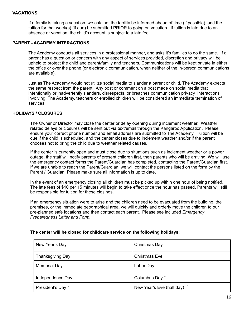#### **VACATIONS**

If a family is taking a vacation, we ask that the facility be informed ahead of time (if possible), and the tuition for that week(s) (if due) be submitted PRIOR to going on vacation. If tuition is late due to an absence or vacation, the child's account is subject to a late fee.

#### **PARENT - ACADEMY INTERACTIONS**

The Academy conducts all services in a professional manner, and asks it's families to do the same. If a parent has a question or concern with any aspect of services provided, discretion and privacy will be upheld to protect the child and parent/family and teachers. Communications will be kept private in either the office or over the phone (or electronic communication, when neither of the in-person communications are available).

Just as The Academy would not utilize social media to slander a parent or child, The Academy expects the same respect from the parent. Any post or comment on a post made on social media that intentionally or inadvertently slanders, disrespects, or breaches communication privacy interactions involving The Academy, teachers or enrolled children will be considered an immediate termination of services.

#### **HOLIDAYS / CLOSURES**

The Owner or Director may close the center or delay opening during inclement weather. Weather related delays or closures will be sent out via text/email through the Kangaroo Application. Please ensure your correct phone number and email address are submitted to The Academy. Tuition will be due if the child is scheduled, and the center closes due to inclement weather and/or if the parent chooses not to bring the child due to weather related causes.

If the center is currently open and must close due to situations such as inclement weather or a power outage, the staff will notify parents of present children first, then parents who will be arriving. We will use the emergency contact forms the Parent/Guardian has completed, contacting the Parent/Guardian first. If we are unable to reach the Parent/Guardian, we will contact the persons listed on the form by the Parent / Guardian. Please make sure all information is up to date.

In the event of an emergency closing all children must be picked up within one hour of being notified. The late fees of \$10 per 15 minutes will begin to take effect once the hour has passed. Parents will still be responsible for tuition for these closings.

If an emergency situation were to arise and the children need to be evacuated from the building, the premises, or the immediate geographical area, we will quickly and orderly move the children to our pre-planned safe locations and then contact each parent. Please see included *Emergency Preparedness Letter and Form.*

| New Year's Day      | Christmas Day                           |
|---------------------|-----------------------------------------|
| Thanksgiving Day    | <b>Christmas Eve</b>                    |
| <b>Memorial Day</b> | Labor Day                               |
| Independence Day    | Columbus Day *                          |
| President's Day *   | New Year's Eve (half day) <sup>1*</sup> |

#### **The center will be closed for childcare service on the following holidays:**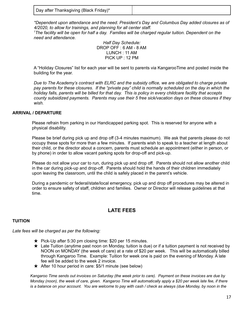| Day after Thanksgiving (Black Friday)* |
|----------------------------------------|
|----------------------------------------|

*\*Dependent upon attendance and the need. President's Day and Columbus Day added closures as of 4/2020, to allow for trainings, and planning for all center staff.*

<sup>1</sup>The facility will be open for half a day. Families will be charged regular tuition. Dependent on the *need and attendance.*

*Half Day Schedule:* DROP OFF : 6 AM - 8 AM LUNCH : 11 AM PICK UP : 12 PM

A "Holiday Closures" list for each year will be sent to parents via KangarooTime and posted inside the building for the year.

*Due to The Academy's contract with ELRC and the subsidy office, we are obligated to charge private* pay parents for these closures. If the "private pay" child is normally scheduled on the day in which the holiday falls, parents will be billed for that day. This is policy in every childcare facility that accepts *county subsidized payments. Parents may use their 5 free sick/vacation days on these closures if they wish.*

#### **ARRIVAL / DEPARTURE**

Please refrain from parking in our Handicapped parking spot. This is reserved for anyone with a physical disability.

Please be brief during pick up and drop off (3-4 minutes maximum). We ask that parents please do not occupy these spots for more than a few minutes. If parents wish to speak to a teacher at length about their child, or the director about a concern, parents must schedule an appointment (either in person, or by phone) in order to allow vacant parking spots for drop-off and pick-up.

Please do not allow your car to run, during pick up and drop off. Parents should not allow another child in the car during pick-up and drop-off. Parents should hold the hands of their children immediately upon leaving the classroom, until the child is safely placed in the parent's vehicle.

During a pandemic or federal/state/local emergency, pick up and drop off procedures may be altered in order to ensure safety of staff, children and families. Owner or Director will release guidelines at that time.

#### **LATE FEES**

#### **TUITION**

*Late fees will be charged as per the following:*

- $\star$  Pick-Up after 5:30 pm closing time: \$20 per 15 minutes.
- ★ Late Tuition (anytime past noon on Monday, tuition is due) or if a tuition payment is not received by NOON on MONDAY (the week of care) at a rate of \$20 per week. This will be automatically billed through Kangaroo Time. Example: Tuition for week one is paid on the evening of Monday. A late fee will be added to the week 2 invoice.
- $\star$  After 10 hour period in care: \$5/1 minute (see below)

Kangaroo Time sends out invoices on Saturday (the week prior to care). Payment on these invoices are due by Monday (noon), the week of care, given. Kangaroo Time will automatically apply a \$20 per week late fee, if there is a balance on your account. You are welcome to pay with cash / check as always (due Monday, by noon in the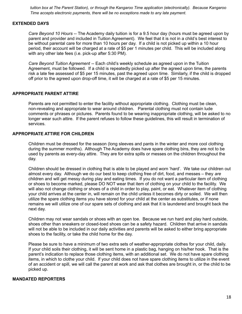*tuition box at The Parent Station), or through the Kangaroo Time application (electronically). Because Kangaroo Time accepts electronic payments, there will be no exceptions made to any late payment.*

#### **EXTENDED DAYS**

*Care Beyond 10 Hours* -- The Academy daily tuition is for a 9.5 hour day (hours must be agreed upon by parent and provider and included in Tuition Agreement). We feel that it is not in a child's best interest to be without parental care for more than 10 hours per day. If a child is not picked up within a 10 hour period, their account will be charged at a rate of \$5 per 1 minutes per child. This will be included along with any other late fees (i.e. pick-up after 5:30 PM).

*Care Beyond Tuition Agreement* -- Each child's weekly schedule as agreed upon in the Tuition Agreement, must be followed. If a child is repeatedly picked up after the agreed upon time, the parents risk a late fee assessed of \$5 per 15 minutes, past the agreed upon time. Similarly, if the child is dropped off prior to the agreed upon drop-off time, it will be charged at a rate of \$5 per 15 minutes.

#### **APPROPRIATE PARENT ATTIRE**

Parents are not permitted to enter the facility without appropriate clothing. Clothing must be clean, non-revealing and appropriate to wear around children. Parental clothing must not contain lude comments or phrases or pictures. Parents found to be wearing inappropriate clothing, will be asked to no longer wear such attire. If the parent refuses to follow these guidelines, this will result in termination of services.

#### **APPROPRIATE ATTIRE FOR CHILDREN**

Children must be dressed for the season (long sleeves and pants in the winter and more cool clothing during the summer months). Although The Academy does have spare clothing bins, they are not to be used by parents as every-day attire. They are for extra spills or messes on the children throughout the day.

Children should be dressed in clothing that is able to be played and worn 'hard'. We take our children out almost every day. Although we do our best to keep clothing free of dirt, food, and messes – they *are* children and will get messy during play and eating times. If you do not want a particular item of clothing or shoes to become marked, please DO NOT wear that item of clothing on your child to the facility. We will also not change clothing or shoes of a child in order to play, paint, or eat. Whatever item of clothing your child arrives at the center in, will remain on the child unless it becomes dirty or soiled. We will then utilize the spare clothing items you have stored for your child at the center as substitutes, or if none remains we will utilize one of our spare sets of clothing and ask that it is laundered and brought back the next day.

Children may not wear sandals or shoes with an open toe. Because we run hard and play hard outside, shoes other than sneakers or closed-toed shoes can be a safety hazard. Children that arrive in sandals will not be able to be included in our daily activities and parents will be asked to either bring appropriate shoes to the facility, or take the child home for the day.

Please be sure to have a minimum of two extra sets of weather-appropriate clothes for your child, daily. If your child soils their clothing, it will be sent home in a plastic bag, hanging on his/her hook. That is the parent's indication to replace those clothing items, with an additional set. We do not have spare clothing items, in which to clothe your child. If your child does not have spare clothing items to utilize in the event of an accident or spill, we will call the parent at work and ask that clothes are brought in, or the child to be picked up.

#### **MANDATED REPORTERS**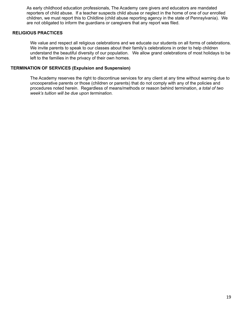As early childhood education professionals, The Academy care givers and educators are mandated reporters of child abuse. If a teacher suspects child abuse or neglect in the home of one of our enrolled children, we must report this to Childline (child abuse reporting agency in the state of Pennsylvania). We are not obligated to inform the guardians or caregivers that any report was filed.

#### **RELIGIOUS PRACTICES**

We value and respect all religious celebrations and we educate our students on all forms of celebrations. We invite parents to speak to our classes about their family's celebrations in order to help children understand the beautiful diversity of our population. We allow grand celebrations of most holidays to be left to the families in the privacy of their own homes.

#### **TERMINATION OF SERVICES (Expulsion and Suspension)**

The Academy reserves the right to discontinue services for any client at any time without warning due to uncooperative parents or those (children or parents) that do not comply with any of the policies and procedures noted herein. Regardless of means/methods or reason behind termination, *a total of two week's tuition will be due upon termination.*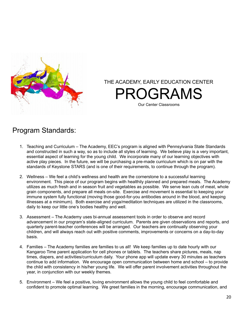

THE ACADEMY, EARLY EDUCATION CENTER PROGRAMS Our Center Classrooms

## Program Standards:

- 1. Teaching and Curriculum The Academy, EEC's program is aligned with Pennsylvania State Standards and constructed in such a way, so as to include all styles of learning. We believe play is a very important, essential aspect of learning for the young child. We incorporate many of our learning objectives with active play pieces. In the future, we will be purchasing a pre-made curriculum which is on par with the standards of Keystone STARS (and is one of their requirements, to continue through the program).
- 2. Wellness We feel a child's wellness and health are the cornerstone to a successful learning environment. This piece of our program begins with healthily planned and prepared meals. The Academy utilizes as much fresh and in season fruit and vegetables as possible. We serve lean cuts of meat, whole grain components, and prepare all meals on-site. Exercise and movement is essential to keeping your immune system fully functional (moving those good-for-you antibodies around in the blood, and keeping illnesses at a minimum). Both exercise and yoga/meditation techniques are utilized in the classrooms, daily to keep our little one's bodies healthy and well.
- 3. Assessment The Academy uses bi-annual assessment tools in order to observe and record advancement in our program's state-aligned curriculum. Parents are given observations and reports, and quarterly parent-teacher conferences will be arranged. Our teachers are continually observing your children, and will always reach out with positive comments, improvements or concerns on a day-to-day basis.
- 4. Families The Academy families are families to us all! We keep families up to date hourly with our Kangaroo Time parent application for cell phones or tablets. The teachers share pictures, meals, nap times, diapers, and activities/curriculum daily. Your phone app will update every 30 minutes as teachers continue to add information. We encourage open communication between home and school – to provide the child with consistency in his/her young life. We will offer parent involvement activities throughout the year, in conjunction with our weekly themes.
- 5. Environment We feel a positive, loving environment allows the young child to feel comfortable and confident to promote optimal learning. We greet families in the morning, encourage communication, and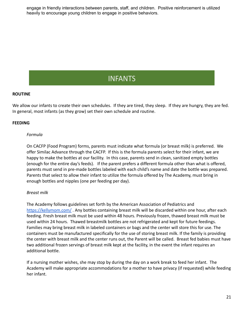engage in friendly interactions between parents, staff, and children. Positive reinforcement is utilized heavily to encourage young children to engage in positive behaviors.

## **INFANTS**

#### **ROUTINE**

We allow our infants to create their own schedules. If they are tired, they sleep. If they are hungry, they are fed. In general, most infants (as they grow) set their own schedule and routine.

#### **FEEDING**

#### *Formula*

On CACFP (Food Program) forms, parents must indicate what formula (or breast milk) is preferred. We offer Similac Advance through the CACFP. If this is the formula parents select for their infant, we are happy to make the bottles at our facility. In this case, parents send in clean, sanitized empty bottles (enough for the entire day's feeds). If the parent prefers a different formula other than what is offered, parents must send in pre-made bottles labeled with each child's name and date the bottle was prepared. Parents that select to allow their infant to utilize the formula offered by The Academy, must bring in enough bottles and nipples (one per feeding per day).

#### *Breast milk*

The Academy follows guidelines set forth by the American Association of Pediatrics and <https://kellymom.com/> . Any bottles containing breast milk will be discarded within one hour, after each feeding. Fresh breast milk must be used within 48 hours. Previously frozen, thawed breast milk must be used within 24 hours. Thawed breastmilk bottles are not refrigerated and kept for future feedings. Families may bring breast milk in labeled containers or bags and the center will store this for use. The containers must be manufactured specifically for the use of storing breast milk. If the family is providing the center with breast milk and the center runs out, the Parent will be called. Breast fed babies must have two additional frozen servings of breast milk kept at the facility, in the event the infant requires an additional bottle.

If a nursing mother wishes, she may stop by during the day on a work break to feed her infant. The Academy will make appropriate accommodations for a mother to have privacy (if requested) while feeding her infant.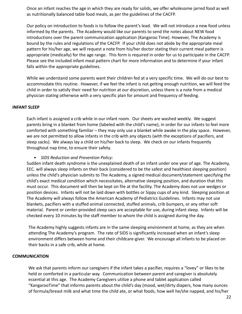Once an infant reaches the age in which they are ready for solids, we offer wholesome jarred food as well as nutritionally balanced table food meals, as per the guidelines of the CACFP.

Our policy on introduction to foods is to follow the parent's lead. We will not introduce a new food unless informed by the parents. The Academy would like our parents to send the notes about NEW food introductions over the parent communication application (Kangaroo Time). However, The Academy is bound by the rules and regulations of the CACFP. If your child does not abide by the appropriate meal pattern for his/her age, we will request a note from his/her doctor stating their current meal pattern is appropriate (medically) for the age range. This form is required in order for us to participate in the CACFP. Please see the included infant meal pattern chart for more information and to determine if your infant falls within the appropriate guidelines.

While we understand some parents want their children fed at a very specific time. We will do our best to accommodate this routine. However, if we feel the infant is not getting enough nutrition, we will feed the child in order to satisfy their need for nutrition at our discretion, unless there is a note from a medical physician stating otherwise with a very specific plan for amount and frequency of feeding.

#### **INFANT SLEEP**

Each infant is assigned a crib while in our infant room. Our sheets are washed weekly. We suggest parents bring in a blanket from home (labeled with the child's name), in order for our infants to feel more comforted with something familiar – they may only use a blanket while awake in the play space. However, we are not permitted to allow infants in the crib with any objects (with the exceptions of pacifiers, and sleep sacks). We always lay a child on his/her back to sleep. We check on our infants frequently throughout nap time, to ensure their safety.

#### *• SIDS Reduction and Prevention Policy:*

Sudden infant death syndrome is the unexplained death of an infant under one year of age. The Academy, EEC. will always sleep infants on their back (considered to be the safest and healthiest sleeping position) unless the child's physician submits to The Academy, a signed medical document/statement specifying the child's exact medical condition which necessitates, alternative sleeping position, and duration that this must occur. This document will then be kept on file at the facility. The Academy does not use wedges or position devices. Infants will not be laid down with bottles or Sippy cups of any kind. Sleeping position at The Academy will always follow the American Academy of Pediatrics Guidelines. Infants may not use blankets, pacifiers with a stuffed animal connected, stuffed animals, crib bumpers, or any other soft material. Parent or center-provided sleep sacs are acceptable for use, during infant sleep. Infants will be checked every 10 minutes by the staff member to whom the child is assigned during the day.

The Academy highly suggests infants are in the same sleeping environment at home, as they are when attending The Academy's program. The rate of SIDS is significantly increased when an infant's sleep environment differs between home and their childcare-giver. We encourage all infants to be placed on their backs in a safe crib, while at home.

#### **COMMUNICATION**

We ask that parents inform our caregivers if the infant takes a pacifier, requires a "lovey" or likes to be held or comforted in a particular way. Communication between parent and caregiver is absolutely essential at this age. The Academy Caregivers utilize a phone and tablet application called "KangarooTime" that informs parents about the child's day (mood, wet/dirty diapers, how many ounces of formula/breast milk and what time the child ate, or what foods, how well he/she napped, and his/her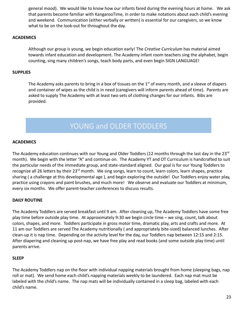general mood). We would like to know how our infants fared during the evening hours at home. We ask that parents become familiar with KangarooTime, in order to make notations about each child's evening and weekend. Communication (either verbally or written) is essential for our caregivers, so we know what to be on the look-out for throughout the day.

#### **ACADEMICS**

Although our group is young, we begin education early! The *Creative Curriculum* has material aimed towards infant education and development. The Academy infant room teachers sing the alphabet, begin counting, sing many children's songs, teach body parts, and even begin SIGN LANGUAGE!

#### **SUPPLIES**

The Academy asks parents to bring in a box of tissues on the  $1<sup>st</sup>$  of every month, and a sleeve of diapers and container of wipes as the child is in need (caregivers will inform parents ahead of time). Parents are asked to supply The Academy with at least two sets of clothing changes for our infants. Bibs are provided.

## YOUNG and OLDER TODDLERS

#### **ACADEMICS**

The Academy education continues with our Young and Older Toddlers (12 months through the last day in the 23 $^{\text{rd}}$ month). We begin with the letter "A" and continue on. The Academy YT and OT Curriculum is handcrafted to suit the particular needs of the immediate group, and state-standard aligned. Our goal is for our Young Toddlers to recognize all 26 letters by their 23<sup>rd</sup> month. We sing songs, learn to count, learn colors, learn shapes, practice sharing ( a challenge at this developmental age ), and begin exploring the outside! Our Toddlers enjoy water play, practice using crayons and paint brushes, and much more! We observe and evaluate our Toddlers at minimum, every six months. We offer parent-teacher conferences to discuss results.

#### **DAILY ROUTINE**

The Academy Toddlers are served breakfast until 9 am. After cleaning up, The Academy Toddlers have some free play time before outside play time. At approximately 9:30 we begin circle time – we sing, count, talk about colors, shapes, and more. Toddlers participate in gross motor time, dramatic play, arts and crafts and more. At 11 am our Toddlers are served The Academy nutritionally ( and appropriately bite-sized) balanced lunches. After clean-up it is nap time. Depending on the activity level for the day, our Toddlers nap between 12:15 and 2:15. After diapering and cleaning up post-nap, we have free play and read books (and some outside play time) until parents arrive.

#### **SLEEP**

The Academy Toddlers nap on the floor with individual napping materials brought from home (sleeping bags, nap roll or mat). We send home each child's napping materials weekly to be laundered. Each nap mat must be labeled with the child's name. The nap mats will be individually contained in a sleep bag, labeled with each child's name.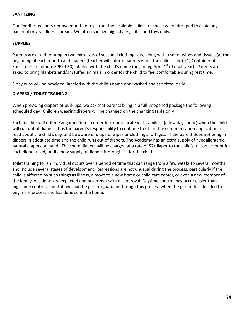#### **SANITIZING**

Our Toddler teachers remove mouthed toys from the available child care space when dropped to avoid any bacterial or viral illness spread. We often sanitize high chairs, cribs, and toys daily.

#### **SUPPLIES**

Parents are asked to bring in two extra sets of seasonal clothing sets, along with a set of wipes and tissues (at the beginning of each month) and diapers (teacher will inform parents when the child is low). (1) Container of Sunscreen (minimum SPF of 30) labeled with the child's name (beginning April  $1<sup>st</sup>$  of each year). Parents are asked to bring blankets and/or stuffed animals in order for the child to feel comfortable during rest time.

Sippy cups will be provided, labeled with the child's name and washed and sanitized, daily.

#### **DIAPERS / TOILET TRAINING**

When providing diapers or pull- ups, we ask that parents bring in a full unopened package the following scheduled day. Children wearing diapers will be changed on the changing table only.

Each teacher will utilize Kangaroo Time in order to communicate with families, (a few days prior) when the child will run out of diapers. It is the parent's responsibility to continue to utilize the communication application to read about the child's day, and be aware of diapers, wipes or clothing shortages. If the parent does not bring in diapers in adequate time and the child runs out of diapers, The Academy has an extra supply of hypoallergenic, natural diapers on hand. The spare diapers will be charged at a rate of \$2/diaper to the child's tuition account for each diaper used, until a new supply of diapers is brought in for the child.

Toilet training for an individual occurs over a period of time that can range from a few weeks to several months and include several stages of development. Regressions are not unusual during the process, particularly if the child is affected by such things as illness, a move to a new home or child care center, or even a new member of the family. Accidents are expected and never met with disapproval. Daytime control may occur easier than nighttime control. The staff will aid the parent/guardian through this process when the parent has decided to begin the process and has done so in the home.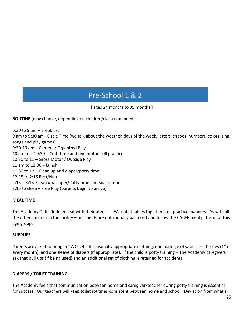## Pre-School 1 & 2

[ ages 24 months to 35 months ]

**ROUTINE** (may change, depending on children/classroom needs):

6:30 to 9 am – Breakfast 9 am to 9:30 am– Circle Time (we talk about the weather, days of the week, letters, shapes, numbers, colors, sing songs and play games) 9:30-10 am – Centers / Organized Play 10 am to – 10:30 - Craft time and fine motor skill practice 10:30 to 11 – Gross Motor / Outside Play 11 am to 11:30 – Lunch 11:30 to 12 – Clean up and diaper/potty time 12:15 to 2:15 Rest/Nap 2:15 – 3:15 Clean up/Diaper/Potty time and Snack Time 3:15 to close – Free Play (parents begin to arrive)

#### **MEAL TIME**

The Academy Older Toddlers eat with their utensils. We eat at tables together, and practice manners. As with all the other children in the facility – our meals are nutritionally balanced and follow the CACFP meal pattern for this age group.

#### **SUPPLIES**

Parents are asked to bring in TWO sets of seasonally appropriate clothing, one package of wipes and tissues  $(1<sup>st</sup>$  of every month), and one sleeve of diapers (if appropriate). If the child is potty training – The Academy caregivers ask that pull ups (if being used) and an additional set of clothing is retained for accidents.

#### **DIAPERS / TOILET TRAINING**

The Academy feels that communication between home and caregiver/teacher during potty training is essential for success. Our teachers will keep toilet routines consistent between home and school. Deviation from what's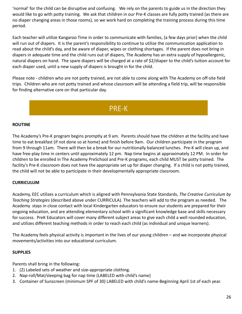'normal' for the child can be disruptive and confusing. We rely on the parents to guide us in the direction they would like to go with potty training. We ask that children in our Pre-K classes are fully potty trained (as there are no diaper changing areas in those rooms), so we work hard on completing the training process during this time period.

Each teacher will utilize Kangaroo Time in order to communicate with families, (a few days prior) when the child will run out of diapers. It is the parent's responsibility to continue to utilize the communication application to read about the child's day, and be aware of diaper, wipes or clothing shortages. If the parent does not bring in diapers in adequate time and the child runs out of diapers, The Academy has an extra supply of hypoallergenic, natural diapers on hand. The spare diapers will be charged at a rate of \$2/diaper to the child's tuition account for each diaper used, until a new supply of diapers is brought in for the child.

Please note - children who are not potty trained, are not able to come along with The Academy on off-site field trips. Children who are not potty trained and whose classroom will be attending a field trip, will be responsible for finding alternative care on that particular day.

## PRE-K

#### **ROUTINE**

The Academy's Pre-K program begins promptly at 9 am. Parents should have the children at the facility and have time to eat breakfast (if not done so at home) and finish before 9am. Our children participate in the program from 9 through 11am. There will then be a break for our nutritionally balanced lunches. Pre-K will clean up, and have free-play time in centers until approximately 12 pm. Nap time begins at approximately 12 PM. In order for children to be enrolled in The Academy PreSchool and Pre-K programs, each child MUST be potty trained. The facility's Pre-K classroom does not have the appropriate set up for diaper changing. If a child is not potty trained, the child will not be able to participate in their developmentally appropriate classroom.

#### **CURRICULUM**

Academy, EEC utilizes a curriculum which is aligned with Pennsylvania State Standards, *The Creative Curriculum by Teaching Strategies* (described above under CURRICULA). The teachers will add to the program as needed. The Academy stays in close contact with local Kindergarten educators to ensure our students are prepared for their ongoing education, and are attending elementary school with a significant knowledge base and skills necessary for success. PreK Educators will cover many different subject areas to give each child a well rounded education, and utilizes different teaching methods in order to reach each child (as individual and unique learners).

The Academy feels physical activity is important in the lives of our young children – and we incorporate physical movements/activities into our educational curriculum.

#### **SUPPLIES**

Parents shall bring in the following:

- 1. (2) Labeled sets of weather and size-appropriate clothing.
- 2. Nap-roll/Mat/sleeping bag for nap time (LABELED with child's name)
- 3. Container of Sunscreen (minimum SPF of 30) LABELED with child's name-Beginning April 1st of each year.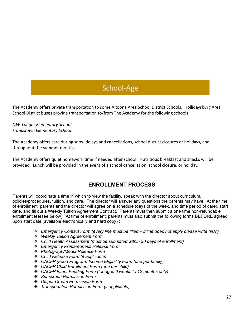## School-Age

The Academy offers private transportation to some Altoona Area School District Schools. Hollidaysburg Area School District buses provide transportation to/from The Academy for the following schools:

*C.W. Longer Elementary School Frankstown Elementary School*

The Academy offers care during snow delays and cancellations, school district closures or holidays, and throughout the summer months.

The Academy offers quiet homework time if needed after school. Nutritious breakfast and snacks will be provided. Lunch will be provided in the event of a school cancellation, school closure, or holiday.

## **ENROLLMENT PROCESS**

Parents will coordinate a time in which to view the facility, speak with the director about curriculum, policies/procedures, tuition, and care. The director will answer any questions the parents may have. At the time of enrollment, parents and the director will agree on a schedule (days of the week, and time period of care), start date, and fill out a Weekly Tuition Agreement Contract. Parents must then submit a one time non-refundable enrollment fee(see below). At time of enrollment, parents must also submit the following forms BEFORE agreed upon start date (available electronically and hard copy) :

- ❖ *Emergency Contact Form (every line must be filled – if line does not apply please write "NA")*
- ❖ *Weekly Tuition Agreement Form*
- ❖ *Child Health Assessment (must be submitted within 30 days of enrollment)*
- ❖ *Emergency Preparedness Release Form*
- ❖ *Photograph/Media Release Form*
- ❖ *Child Release Form (if applicable)*
- ❖ *CACFP (Food Program) Income Eligibility Form (one per family)*
- ❖ *CACFP Child Enrollment Form (one per child)*
- ❖ *CACFP Infant Feeding Form (for ages 6 weeks to 12 months only)*
- ❖ *Sunscreen Permission Form*
- ❖ *Diaper Cream Permission Form*
- ❖ *Transportation Permission Form (if applicable)*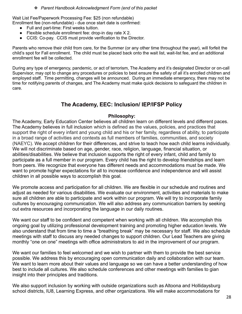#### ❖ *Parent Handbook Acknowledgment Form (end of this packet*

Wait List Fee/Paperwork Processing Fee: \$25 (non refundable) Enrollment fee (non-refundable) - due once start date is confirmed:

- Full and part-time: First weeks tuition.
- Flexible schedule enrollment fee: drop-in day rate X 2.
- CCIS: Co-pay. CCIS must provide verification to the Director.

Parents who remove their child from care, for the Summer (or any other time throughout the year), will forfeit the child's spot for Fall enrollment. The child must be placed back onto the wait list, wait-list fee, and an additional enrollment fee will be collected.

During any type of emergency, pandemic, or act of terrorism, The Academy and it's designated Director or on-call Supervisor, may opt to change any procedures or policies to best ensure the safety of all it's enrolled children and employed staff. Time permitting, changes will be announced. During an immediate emergency, there may not be time for notifying parents of changes, and The Academy must make quick decisions to safeguard the children in care.

## **The Academy, EEC: Inclusion/ IEP/IFSP Policy**

#### **Philosophy:**

The Academy, Early Education Center believes all children learn on different levels and different paces. The Academy believes in full inclusion which is defined as the values, policies, and practices that support the right of every infant and young child and his or her family, regardless of ability, to participate in a broad range of activities and contexts as full members of families, communities, and society (NAEYC). We accept children for their differences, and strive to teach how each child learns individually. We will not discriminate based on age, gender, race, religion, language, financial situation, or abilities/disabilities. We believe that inclusion supports the right of every infant, child and family to participate as a full member in our program. Every child has the right to develop friendships and learn from peers. We recognize that everyone has different needs and accommodations must be made. We want to promote higher expectations for all to increase confidence and independence and will assist children in all possible ways to accomplish this goal.

We promote access and participation for all children. We are flexible in our schedule and routines and adjust as needed for various disabilities. We evaluate our environment, activities and materials to make sure all children are able to participate and work within our program. We will try to incorporate family cultures by encouraging communication. We will also address any communication barriers by seeking out extra resources and incorporating the language in our daily routines.

We want our staff to be confident and competent when working with all children. We accomplish this ongoing goal by utilizing professional development training and promoting higher education levels. We also understand that from time to time a "breathing break" may be necessary for staff. We also schedule meetings with staff to discuss any needed changes to support children. Our Lead Teachers are giving monthly "one on one" meetings with office administrators to aid in the improvement of our program.

We want our families to feel welcomed and we wish to partner with them to provide the best service possible. We address this by encouraging open communication daily and collaboration with our team. We want to learn more about their values and language so we can have a better understanding of how best to include all cultures. We also schedule conferences and other meetings with families to gian insight into their principles and traditions.

We also support inclusion by working with outside organizations such as Altoona and Hollidaysburg school districts, IU8, Learning Express, and other organizations. We will make accommodations for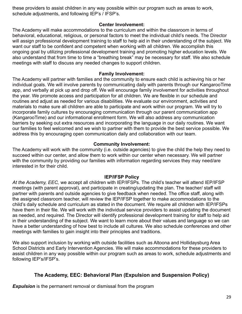these providers to assist children in any way possible within our program such as areas to work, schedule adjustments, and following IEP's / IFSP's.

#### **Center Involvement:**

The Academy will make accommodations to the curriculum and within the classroom in terms of behavioral, educational, religious, or personal factors to meet the individual child's needs. The Director will assign professional development training to staff to help aid in their understanding of the subject. We want our staff to be confident and competent when working with all children. We accomplish this ongoing goal by utilizing professional development training and promoting higher education levels. We also understand that from time to time a "breathing break" may be necessary for staff. We also schedule meetings with staff to discuss any needed changes to support children.

#### **Family Involvement:**

The Academy will partner with families and the community to ensure each child is achieving his or her individual goals. We will involve parents by communicating daily with parents through our KangarooTime app, and verbally at pick up and drop off. We will encourage family involvement for activities throughout the year. We promote access and participation for all children. We are flexible in our schedule and routines and adjust as needed for various disabilities. We evaluate our environment, activities and materials to make sure all children are able to participate and work within our program. We will try to incorporate family cultures by encouraging communication through our parent communication app (KangarooTime) and our informational enrollment form. We will also address any communication barriers by seeking out extra resources and incorporating the language in our daily routines. We want our families to feel welcomed and we wish to partner with them to provide the best service possible. We address this by encouraging open communication daily and collaboration with our team.

#### **Community Involvement:**

The Academy will work with the community (i.e. outside agencies) to give the child the help they need to succeed within our center, and allow them to work within our center when necessary. We will partner with the community by providing our families with information regarding services they may need/are interested in for their child.

#### **IEP/IFSP Policy**

*At the Academy, EEC,* we accept all children with IEP/IFSPs. The child's teacher will attend IEP/IFSP meetings (with parent approval), and participate in creating/updating the plan. The teacher/ staff will partner with parents and outside agencies to give feedback when needed. The office staff, along with the assigned classroom teacher, will review the IEP/IFSP together to make accommodations to the child's daily schedule and curriculum as stated in the document. We require all children with IEP/IFSPs have them in their file. We will work with the individual service providers to assist updating the document as needed, and required. The Director will identify professional development training for staff to help aid in their understanding of the subject. We want to learn more about their values and language so we can have a better understanding of how best to include all cultures. We also schedule conferences and other meetings with families to gain insight into their principles and traditions.

We also support inclusion by working with outside facilities such as Altoona and Hollidaysburg Area School Districts and Early Intervention Agencies. We will make accommodations for these providers to assist children in any way possible within our program such as areas to work, schedule adjustments and following IEP's/IFSP's.

### **The Academy, EEC: Behavioral Plan (Expulsion and Suspension Policy)**

*Expulsion* is the permanent removal or dismissal from the program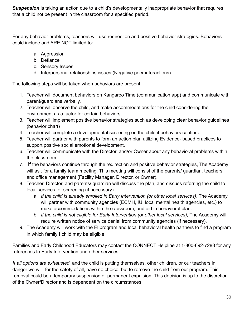*Suspension* is taking an action due to a child's developmentally inappropriate behavior that requires that a child not be present in the classroom for a specified period.

For any behavior problems, teachers will use redirection and positive behavior strategies. Behaviors could include and ARE NOT limited to:

- a. Aggression
- b. Defiance
- c. Sensory Issues
- d. Interpersonal relationships issues (Negative peer interactions)

The following steps will be taken when behaviors are present:

- 1. Teacher will document behaviors on Kangaroo Time (communication app) and communicate with parent/guardians verbally.
- 2. Teacher will observe the child, and make accommodations for the child considering the environment as a factor for certain behaviors.
- 3. Teacher will implement positive behavior strategies such as developing clear behavior guidelines (behavior chart)
- 4. Teacher will complete a developmental screening on the child if behaviors continue.
- 5. Teacher will partner with parents to form an action plan utilizing Evidence- based practices to support positive social emotional development.
- 6. Teacher will communicate with the Director, and/or Owner about any behavioral problems within the classroom.
- 7. If the behaviors continue through the redirection and positive behavior strategies, The Academy will ask for a family team meeting. This meeting will consist of the parents/ guardian, teachers, and office management (Facility Manager, Director, or Owner).
- 8. Teacher, Director, and parents/ guardian will discuss the plan, and discuss referring the child to local services for screening (if necessary).
	- a. *If the child is already enrolled in Early Intervention (or other local services)*, The Academy will partner with community agencies (ECMH, IU, local mental health agencies, etc.) to make accommodations within the classroom, and aid in behavioral plan.
	- b. *If the child is not eligible for Early Intervention (or other local services),* The Academy will require written notice of service denial from community agencies (if necessary).
- 9. The Academy will work with the El program and local behavioral health partners to find a program in which family I child may be eligible.

Families and Early Childhood Educators may contact the CONNECT Helpline at 1-800-692-7288 for any references to Early Intervention and other services.

*If all options are exhausted*, and the child is putting themselves, other children, or our teachers in danger we will, for the safety of all, have no choice, but to remove the child from our program. This removal could be a temporary suspension or permanent expulsion. This decision is up to the discretion of the Owner/Director and is dependent on the circumstances.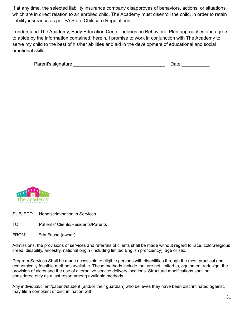If at any time, the selected liability insurance company disapproves of behaviors, actions, or situations which are in direct relation to an enrolled child, The Academy must disenroll the child, in order to retain liability insurance as per PA State Childcare Regulations.

I understand The Academy, Early Education Center policies on Behavioral Plan approaches and agree to abide by the information contained, herein. I promise to work in conjunction with The Academy to serve my child to the best of his/her abilities and aid in the development of educational and social emotional skills.

| Parent's signature: | Date: |  |
|---------------------|-------|--|
|                     |       |  |



- SUBJECT: Nondiscrimination in Services
- TO: Patients/ Clients/Residents/Parents
- FROM: Erin Fouse (owner)

Admissions, the provisions of services and referrals of clients shall be made without regard to race, color,religious creed, disability, ancestry, national origin (including limited English proficiency), age or sex.

Program Services Shall be made accessible to eligible persons with disabilities through the most practical and economically feasible methods available. These methods include, but are not limited to, equipment redesign, the provision of aides and the use of alternative service delivery locations. Structural modifications shall be considered only as a last resort among available methods.

Any individual/client/patient/student (and/or their guardian) who believes they have been discriminated against, may file a complaint of discrimination with: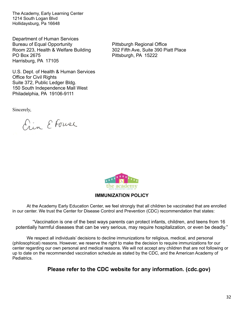The Academy, Early Learning Center 1214 South Logan Blvd Hollidaysburg, Pa 16648

Department of Human Services Bureau of Equal Opportunity **Example 20 Fittsburgh Regional Office** Room 223, Health & Welfare Building 302 Fifth Ave, Suite 390 Piatt Place PO Box 2675 PO Box 2675 Harrisburg, PA 17105

U.S. Dept. of Health & Human Services Office for Civil Rights Suite 372, Public Ledger Bldg. 150 South Independence Mall West Philadelphia, PA 19106-9111

Sincerely,

Ein E Fouse



#### **IMMUNIZATION POLICY**

At the Academy Early Education Center, we feel strongly that all children be vaccinated that are enrolled in our center. We trust the Center for Disease Control and Prevention (CDC) recommendation that states:

"Vaccination is one of the best ways parents can protect infants, children, and teens from 16 potentially harmful diseases that can be very serious, may require hospitalization, or even be deadly."

We respect all individuals' decisions to decline immunizations for religious, medical, and personal (philosophical) reasons. However, we reserve the right to make the decision to require immunizations for our center regarding our own personal and medical reasons. We will not accept any children that are not following or up to date on the recommended vaccination schedule as stated by the CDC, and the American Academy of Pediatrics.

**Please refer to the CDC website for any information. (cdc.gov)**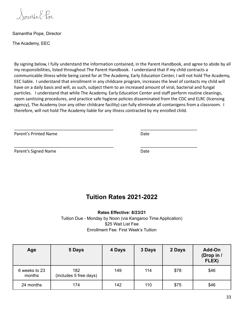Samartha E. Pope

#### Samantha Pope, Director

The Academy, EEC

By signing below, I fully understand the information contained, in the Parent Handbook, and agree to abide by all my responsibilities, listed throughout The Parent Handbook. I understand that if my child contracts a communicable illness while being cared for at The Academy, Early Education Center, I will not hold The Academy, EEC liable. I understand that enrollment in any childcare program, increases the level of contacts my child will have on a daily basis and will, as such, subject them to an increased amount of viral, bacterial and fungal particles. I understand that while The Academy, Early Education Center and staff perform routine cleanings, room sanitizing procedures, and practice safe hygiene policies disseminated from the CDC and ELRC (licensing agency), The Academy (nor any other childcare facility) can fully eliminate all contanigens from a classroom. I therefore, will not hold The Academy liable for any illness contracted by my enrolled child.

\_\_\_\_\_\_\_\_\_\_\_\_\_\_\_\_\_\_\_\_\_\_\_\_\_\_\_\_\_\_\_\_\_\_\_\_\_\_\_\_\_\_ \_\_\_\_\_\_\_\_\_\_\_\_\_\_\_\_\_\_\_\_\_\_\_\_

\_\_\_\_\_\_\_\_\_\_\_\_\_\_\_\_\_\_\_\_\_\_\_\_\_\_\_\_\_\_\_\_\_\_\_\_\_\_\_\_\_\_ \_\_\_\_\_\_\_\_\_\_\_\_\_\_\_\_\_\_\_\_\_\_\_\_

Parent's Printed Name **Date** Date **Date** 

Parent's Signed Name Date Date Date

## **Tuition Rates 2021-2022**

**Rates Effective: 8/23/21** Tuition Due - Monday by Noon (via Kangaroo Time Application) \$25 Wait List Fee Enrollment Fee: First Week's Tuition

| Age                     | 5 Days                        | 4 Days | 3 Days | 2 Days | Add-On<br>(Drop in /<br>FLEX) |
|-------------------------|-------------------------------|--------|--------|--------|-------------------------------|
| 6 weeks to 23<br>months | 182<br>(includes 5 free days) | 149    | 114    | \$78   | \$46                          |
| 24 months               | 174                           | 142    | 110    | \$75   | \$46                          |